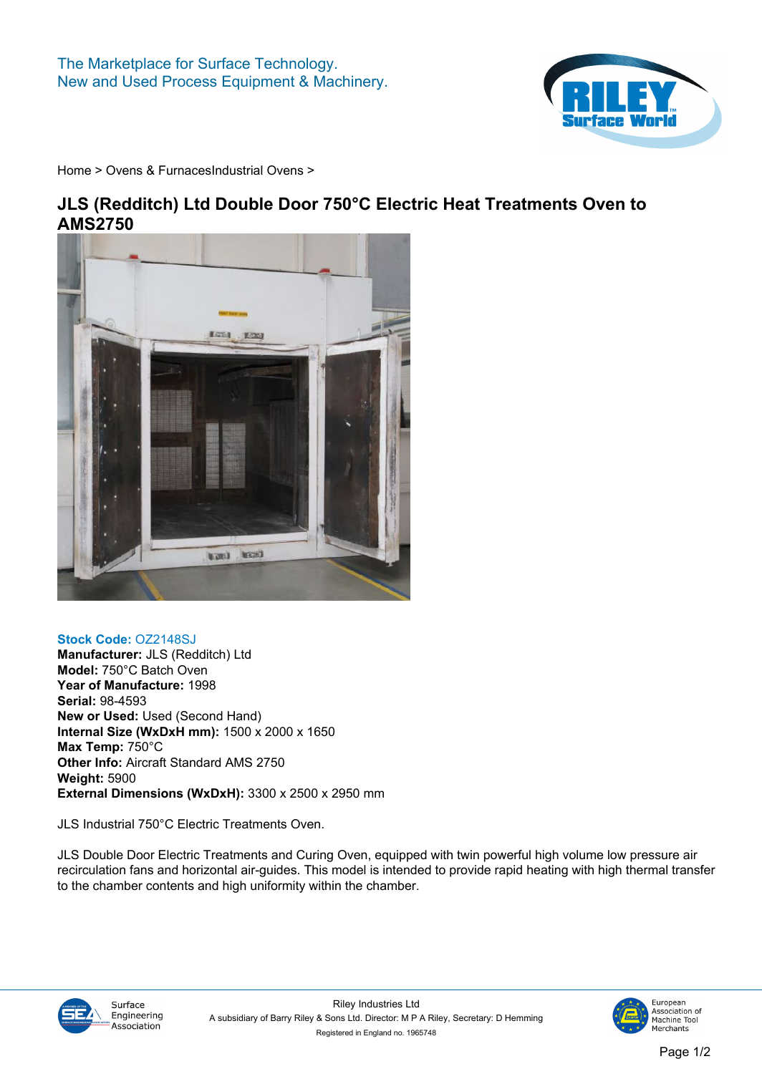

**[Home](https://www.rileysurfaceworld.co.uk) > [Ovens & Furnaces](https://www.rileysurfaceworld.co.uk/ovens.asp)[Industrial Ovens](https://www.rileysurfaceworld.co.uk/ovens-industrial.asp) >**

## **JLS (Redditch) Ltd Double Door 750°C Electric Heat Treatments Oven to AMS2750**



## **Stock Code: OZ2148SJ**

**Manufacturer: JLS (Redditch) Ltd Model: 750°C Batch Oven Year of Manufacture: 1998 Serial: 98-4593 New or Used: Used (Second Hand) Internal Size (WxDxH mm): 1500 x 2000 x 1650 Max Temp: 750°C Other Info: Aircraft Standard AMS 2750 Weight: 5900 External Dimensions (WxDxH): 3300 x 2500 x 2950 mm**

**JLS Industrial 750°C Electric Treatments Oven.**

**JLS Double Door Electric Treatments and Curing Oven, equipped with twin powerful high volume low pressure air recirculation fans and horizontal air-guides. This model is intended to provide rapid heating with high thermal transfer to the chamber contents and high uniformity within the chamber.**